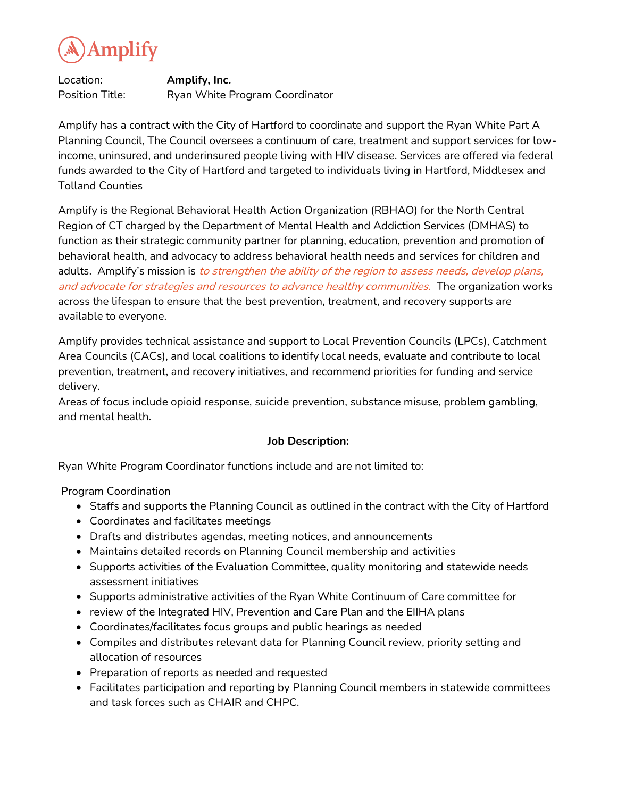

Location: **Amplify, Inc.**  Position Title: Ryan White Program Coordinator

Amplify has a contract with the City of Hartford to coordinate and support the Ryan White Part A Planning Council, The Council oversees a continuum of care, treatment and support services for lowincome, uninsured, and underinsured people living with HIV disease. Services are offered via federal funds awarded to the City of Hartford and targeted to individuals living in Hartford, Middlesex and Tolland Counties

Amplify is the Regional Behavioral Health Action Organization (RBHAO) for the North Central Region of CT charged by the Department of Mental Health and Addiction Services (DMHAS) to function as their strategic community partner for planning, education, prevention and promotion of behavioral health, and advocacy to address behavioral health needs and services for children and adults. Amplify's mission is to strengthen the ability of the region to assess needs, develop plans, and advocate for strategies and resources to advance healthy communities. The organization works across the lifespan to ensure that the best prevention, treatment, and recovery supports are available to everyone.

Amplify provides technical assistance and support to Local Prevention Councils (LPCs), Catchment Area Councils (CACs), and local coalitions to identify local needs, evaluate and contribute to local prevention, treatment, and recovery initiatives, and recommend priorities for funding and service delivery.

Areas of focus include opioid response, suicide prevention, substance misuse, problem gambling, and mental health.

## **Job Description:**

Ryan White Program Coordinator functions include and are not limited to:

## Program Coordination

- Staffs and supports the Planning Council as outlined in the contract with the City of Hartford
- Coordinates and facilitates meetings
- Drafts and distributes agendas, meeting notices, and announcements
- Maintains detailed records on Planning Council membership and activities
- Supports activities of the Evaluation Committee, quality monitoring and statewide needs assessment initiatives
- Supports administrative activities of the Ryan White Continuum of Care committee for
- review of the Integrated HIV, Prevention and Care Plan and the EIIHA plans
- Coordinates/facilitates focus groups and public hearings as needed
- Compiles and distributes relevant data for Planning Council review, priority setting and allocation of resources
- Preparation of reports as needed and requested
- Facilitates participation and reporting by Planning Council members in statewide committees and task forces such as CHAIR and CHPC.